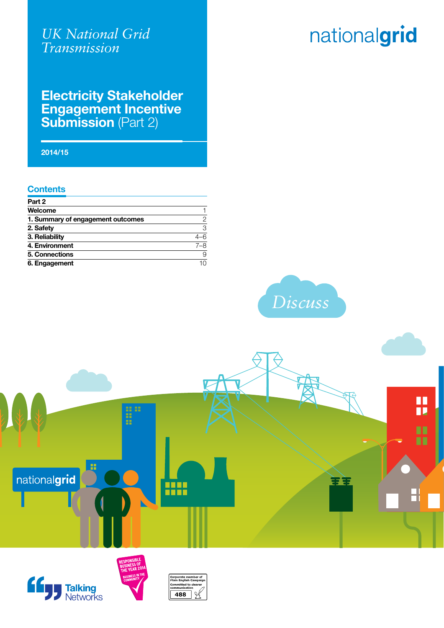### *UK National Grid Transmission*

# nationalgrid

### **Electricity Stakeholder Engagement Incentive Submission** (Part 2)

**2014/15**

#### **Contents**

| Part 2                            |     |
|-----------------------------------|-----|
| Welcome                           |     |
| 1. Summary of engagement outcomes | 2   |
| 2. Safety                         | 3   |
| 3. Reliability                    | -6  |
| 4. Environment                    | 7–8 |
| 5. Connections                    | 9   |
| 6. Engagement                     | 10  |









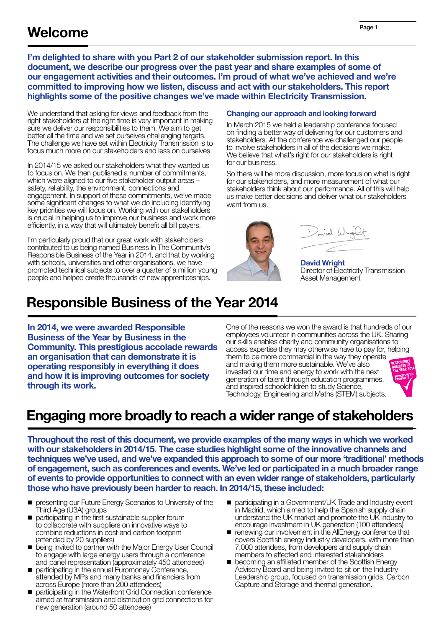I'm delighted to share with you Part 2 of our stakeholder submission report. In this document, we describe our progress over the past year and share examples of some of our engagement activities and their outcomes. I'm proud of what we've achieved and we're committed to improving how we listen, discuss and act with our stakeholders. This report highlights some of the positive changes we've made within Electricity Transmission.

We understand that asking for views and feedback from the right stakeholders at the right time is very important in making sure we deliver our responsibilities to them. We aim to get better all the time and we set ourselves challenging targets. The challenge we have set within Electricity Transmission is to focus much more on our stakeholders and less on ourselves.

In 2014/15 we asked our stakeholders what they wanted us to focus on. We then published a number of commitments, which were aligned to our five stakeholder output areas – safety, reliability, the environment, connections and engagement. In support of these commitments, we've made some significant changes to what we do including identifying key priorities we will focus on. Working with our stakeholders is crucial in helping us to improve our business and work more efficiently, in a way that will ultimately benefit all bill payers.

I'm particularly proud that our great work with stakeholders contributed to us being named Business In The Community's Responsible Business of the Year in 2014, and that by working with schools, universities and other organisations, we have promoted technical subjects to over a quarter of a million young people and helped create thousands of new apprenticeships.

#### Changing our approach and looking forward

In March 2015 we held a leadership conference focused on finding a better way of delivering for our customers and stakeholders. At the conference we challenged our people to involve stakeholders in all of the decisions we make. We believe that what's right for our stakeholders is right for our business.

So there will be more discussion, more focus on what is right for our stakeholders, and more measurement of what our stakeholders think about our performance. All of this will help us make better decisions and deliver what our stakeholders want from us.

Doind Wright

David Wright Director of Electricity Transmission Asset Management

# Responsible Business of the Year 2014

In 2014, we were awarded Responsible Business of the Year by Business in the Community. This prestigious accolade rewards an organisation that can demonstrate it is operating responsibly in everything it does and how it is improving outcomes for society through its work.

One of the reasons we won the award is that hundreds of our employees volunteer in communities across the UK. Sharing our skills enables charity and community organisations to access expertise they may otherwise have to pay for, helping them to be more commercial in the way they operate and making them more sustainable. We've also invested our time and energy to work with the next generation of talent through education programmes, and inspired schoolchildren to study Science, Technology, Engineering and Maths (STEM) subjects.



# Engaging more broadly to reach a wider range of stakeholders

Throughout the rest of this document, we provide examples of the many ways in which we worked with our stakeholders in 2014/15. The case studies highlight some of the innovative channels and techniques we've used, and we've expanded this approach to some of our more 'traditional' methods of engagement, such as conferences and events. We've led or participated in a much broader range of events to provide opportunities to connect with an even wider range of stakeholders, particularly those who have previously been harder to reach. In 2014/15, these included:

- **n** presenting our Future Energy Scenarios to University of the Third Age (U3A) groups
- n participating in the first sustainable supplier forum to collaborate with suppliers on innovative ways to combine reductions in cost and carbon footprint (attended by 20 suppliers)
- being invited to partner with the Major Energy User Council to engage with large energy users through a conference and panel representation (approximately 450 attendees)
- participating in the annual Euromoney Conference, attended by MPs and many banks and financiers from across Europe (more than 200 attendees)
- n participating in the Waterfront Grid Connection conference aimed at transmission and distribution grid connections for new generation (around 50 attendees)
- participating in a Government/UK Trade and Industry event in Madrid, which aimed to help the Spanish supply chain understand the UK market and promote the UK industry to encourage investment in UK generation (100 attendees)
- **n** renewing our involvement in the AllEnergy conference that covers Scottish energy industry developers, with more than 7,000 attendees, from developers and supply chain members to affected and interested stakeholders
- **n** becoming an affiliated member of the Scottish Energy Advisory Board and being invited to sit on the Industry Leadership group, focused on transmission grids, Carbon Capture and Storage and thermal generation.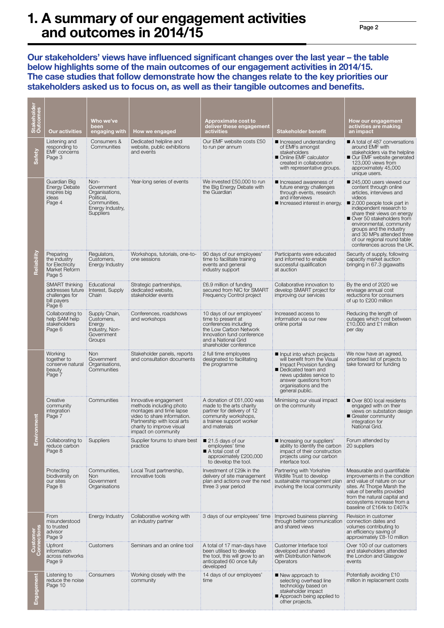### 1. A summary of our engagement activities and outcomes in 2014/15

Our stakeholders' views have influenced significant changes over the last year – the table below highlights some of the main outcomes of our engagement activities in 2014/15. The case studies that follow demonstrate how the changes relate to the key priorities our stakeholders asked us to focus on, as well as their tangible outcomes and benefits.

| Stakeholder<br>Outcomes | <b>Our activities</b>                                                         | Who we've<br>been<br>engaging with                                                                         | How we engaged                                                                                                                                                                                | Approximate cost to<br>deliver these engagement<br>activities                                                                                                                     | <b>Stakeholder benefit</b>                                                                                                                                                                                  | How our engagement<br>activities are making<br>an impact                                                                                                                                                                                                                                                                                                      |
|-------------------------|-------------------------------------------------------------------------------|------------------------------------------------------------------------------------------------------------|-----------------------------------------------------------------------------------------------------------------------------------------------------------------------------------------------|-----------------------------------------------------------------------------------------------------------------------------------------------------------------------------------|-------------------------------------------------------------------------------------------------------------------------------------------------------------------------------------------------------------|---------------------------------------------------------------------------------------------------------------------------------------------------------------------------------------------------------------------------------------------------------------------------------------------------------------------------------------------------------------|
| Safety                  | Listening and<br>responding to<br><b>EMF</b> concerns<br>Page 3               | Consumers &<br>Communities                                                                                 | Dedicated helpline and<br>website, public exhibitions<br>and events                                                                                                                           | Our EMF website costs £50<br>to run per annum                                                                                                                                     | ■ Increased understanding<br>of EMFs amongst<br>stakeholders<br>Online EMF calculator<br>created in collaboration<br>with representative groups.                                                            | A total of 487 conversations<br>around EMF with<br>stakeholders via the helpline<br>Our EMF website generated<br>123,000 views from<br>approximately 45,000<br>unique users.                                                                                                                                                                                  |
| Reliability             | Guardian Big<br><b>Energy Debate</b><br>inspires big<br>ideas<br>Page 4       | Non-<br>Government<br>Organisations.<br>Political,<br>Communities,<br>Energy Industry,<br><b>Suppliers</b> | Year-long series of events                                                                                                                                                                    | We invested £50,000 to run<br>the Big Energy Debate with<br>the Guardian                                                                                                          | Increased awareness of<br>future energy challenges<br>through events, research<br>and interviews<br>Increased interest in energy.                                                                           | 245,000 users viewed our<br>content through online<br>articles, interviews and<br>videos<br>2,000 people took part in<br>independent research to<br>share their views on energy<br>Over 50 stakeholders from<br>environmental, community<br>groups and the industry<br>and 30 MPs attended three<br>of our regional round table<br>conferences across the UK. |
|                         | Preparing<br>the industry<br>for Electricity<br>Market Reform<br>Page 5       | Regulators,<br>Customers,<br>Energy Industry                                                               | Workshops, tutorials, one-to-<br>one sessions                                                                                                                                                 | 90 days of our employees'<br>time to facilitate training<br>events and general<br>industry support                                                                                | Participants were educated<br>and informed to enable<br>successful qualification<br>at auction                                                                                                              | Security of supply, following<br>capacity market auction<br>bringing in 67.3 gigawatts                                                                                                                                                                                                                                                                        |
|                         | SMART thinking<br>addresses future<br>challenges for<br>bill payers<br>Page 6 | Educational<br>Interest, Supply<br>Chain                                                                   | Strategic partnerships,<br>dedicated website.<br>stakeholder events                                                                                                                           | £6.9 million of funding<br>secured from NIC for SMART<br>Frequency Control project                                                                                                | Collaborative innovation to<br>develop SMART project for<br>improving our services                                                                                                                          | By the end of 2020 we<br>envisage annual cost<br>reductions for consumers<br>of up to £200 million                                                                                                                                                                                                                                                            |
|                         | Collaborating to<br>help SAM help<br>stakeholders<br>Page 6                   | Supply Chain,<br>Customers,<br>Energy<br>Industry, Non-<br>Government<br>Groups                            | Conferences, roadshows<br>and workshops                                                                                                                                                       | 10 days of our employees'<br>time to present at<br>conferences including<br>the Low Carbon Network<br>Innovation fund conference<br>and a National Grid<br>shareholder conference | Increased access to<br>information via our new<br>online portal                                                                                                                                             | Reducing the length of<br>outages which cost between<br>£10,000 and £1 million<br>per day                                                                                                                                                                                                                                                                     |
| onment<br>Envir         | Working<br>together to<br>conserve natural<br>beauty<br>Page 7                | <b>Non</b><br>Government<br>Organisations,<br>Communities                                                  | Stakeholder panels, reports<br>and consultation documents                                                                                                                                     | 2 full time employees<br>designated to facilitating<br>the programme                                                                                                              | Input into which projects<br>will benefit from the Visual<br>Impact Provision funding<br>Dedicated team and<br>news updates service to<br>answer questions from<br>organisations and the<br>general public. | We now have an agreed,<br>prioritised list of projects to<br>take forward for funding                                                                                                                                                                                                                                                                         |
|                         | Creative<br>community<br>integration<br>Page 7                                | Communities                                                                                                | Innovative engagement<br>methods including photo<br>montages and time lapse<br>video to share information.<br>Partnership with local arts<br>charity to improve visual<br>impact on community | A donation of £61,000 was<br>made to the arts charity<br>partner for delivery of 12<br>community workshops.<br>a trainee support worker<br>and materials                          | Minimising our visual impact<br>on the community                                                                                                                                                            | Over 800 local residents<br>engaged with on their<br>views on substation design<br>Greater community<br>integration for<br>National Grid.                                                                                                                                                                                                                     |
|                         | Collaborating to<br>reduce carbon<br>Page 8                                   | <b>Suppliers</b>                                                                                           | Supplier forums to share best<br>practice                                                                                                                                                     | ■ 21.5 days of our<br>employees' time<br>A total cost of<br>approximately £200,000<br>to develop the tool.                                                                        | Increasing our suppliers'<br>ability to identify the carbon<br>impact of their construction<br>projects using our carbon<br>interface tool.                                                                 | Forum attended by<br>20 suppliers                                                                                                                                                                                                                                                                                                                             |
|                         | Protecting<br>biodiversity on<br>our sites<br>Page 8                          | Communities,<br>Non<br>Government<br>Organisations                                                         | Local Trust partnership,<br>innovative tools                                                                                                                                                  | Investment of £29k in the<br>delivery of site management<br>plan and actions over the next<br>three 3 year period                                                                 | Partnering with Yorkshire<br>Wildlife Trust to develop<br>sustainable management plan<br>involving the local community                                                                                      | Measurable and quantifiable<br>improvements in the condition<br>and value of nature on our<br>sites. At Thorpe Marsh the<br>value of benefits provided<br>from the natural capital and<br>ecosystems increase from a<br>baseline of £164k to £407k                                                                                                            |
| Customer<br>'onnections | From<br>misunderstood<br>to trusted<br>advisor<br>Page 9                      | Energy Industry                                                                                            | Collaborative working with<br>an industry partner                                                                                                                                             | 3 days of our employees' time   Improved business planning                                                                                                                        | through better communication<br>and shared views                                                                                                                                                            | Revision in customer<br>connection dates and<br>volumes contributing to<br>an efficiency saving of<br>approximately £8-10 million                                                                                                                                                                                                                             |
|                         | <b>Upfront</b><br>information<br>across networks<br>Page 9                    | Customers                                                                                                  | Seminars and an online tool                                                                                                                                                                   | A total of 17 man-days have<br>been utilised to develop<br>the tool, this will grow to an<br>anticipated 60 once fully<br>developed                                               | Customer Interface tool<br>developed and shared<br>with Distribution Network<br>Operators                                                                                                                   | Over 100 of our customers<br>and stakeholders attended<br>the London and Glasgow<br>events                                                                                                                                                                                                                                                                    |
| Engagement              | Listening to<br>reduce the noise<br>Page 10                                   | Consumers                                                                                                  | Working closely with the<br>community                                                                                                                                                         | 14 days of our employees'<br>time                                                                                                                                                 | New approach to<br>selecting overhead line<br>technology based on<br>stakeholder impact<br>Approach being applied to<br>other projects.                                                                     | Potentially avoiding £10<br>million in replacement costs                                                                                                                                                                                                                                                                                                      |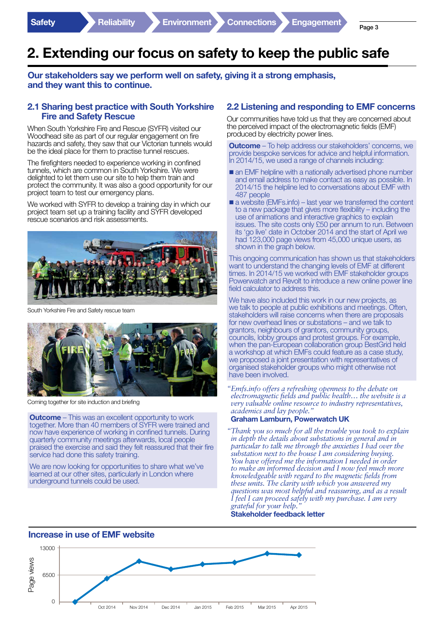# 2. Extending our focus on safety to keep the public safe

Our stakeholders say we perform well on safety, giving it a strong emphasis, and they want this to continue.

#### 2.1 Sharing best practice with South Yorkshire Fire and Safety Rescue

When South Yorkshire Fire and Rescue (SYFR) visited our Woodhead site as part of our regular engagement on fire hazards and safety, they saw that our Victorian tunnels would be the ideal place for them to practise tunnel rescues.

The firefighters needed to experience working in confined tunnels, which are common in South Yorkshire. We were delighted to let them use our site to help them train and protect the community. It was also a good opportunity for our project team to test our emergency plans.

We worked with SYFR to develop a training day in which our project team set up a training facility and SYFR developed rescue scenarios and risk assessments.



South Yorkshire Fire and Safety rescue team



Coming together for site induction and briefing

**Outcome** – This was an excellent opportunity to work together. More than 40 members of SYFR were trained and now have experience of working in confined tunnels. During quarterly community meetings afterwards, local people praised the exercise and said they felt reassured that their fire service had done this safety training.

We are now looking for opportunities to share what we've learned at our other sites, particularly in London where underground tunnels could be used.

#### 2.2 Listening and responding to EMF concerns

Our communities have told us that they are concerned about the perceived impact of the electromagnetic fields (EMF) produced by electricity power lines.

**Outcome** – To help address our stakeholders' concerns, we provide bespoke services for advice and helpful information. In 2014/15, we used a range of channels including:

- $\blacksquare$  an EMF helpline with a nationally advertised phone number and email address to make contact as easy as possible. In 2014/15 the helpline led to conversations about EMF with 487 people
- a website (EMFs.info) last year we transferred the content to a new package that gives more flexibility – including the use of animations and interactive graphics to explain issues. The site costs only £50 per annum to run. Between its 'go live' date in October 2014 and the start of April we had 123,000 page views from 45,000 unique users, as shown in the graph below.

This ongoing communication has shown us that stakeholders want to understand the changing levels of EMF at different times. In 2014/15 we worked with EMF stakeholder groups Powerwatch and Revolt to introduce a new online power line field calculator to address this.

We have also included this work in our new projects, as we talk to people at public exhibitions and meetings. Often, stakeholders will raise concerns when there are proposals for new overhead lines or substations – and we talk to grantors, neighbours of grantors, community groups, councils, lobby groups and protest groups. For example, when the pan-European collaboration group BestGrid held a workshop at which EMFs could feature as a case study, we proposed a joint presentation with representatives of organised stakeholder groups who might otherwise not have been involved.

*"Emfs.info offers a refreshing openness to the debate on electromagnetic fields and public health… the website is a very valuable online resource to industry representatives, academics and lay people."* 

#### Graham Lamburn, Powerwatch UK

*"Thank you so much for all the trouble you took to explain in depth the details about substations in general and in particular to talk me through the anxieties I had over the substation next to the house I am considering buying.*  You have offered me the information I needed in order *to make an informed decision and I now feel much more knowledgeable with regard to the magnetic fields from these units. The clarity with which you answered my questions was most helpful and reassuring, and as a result I feel I can proceed safely with my purchase. I am very grateful for your help."*

Stakeholder feedback letter

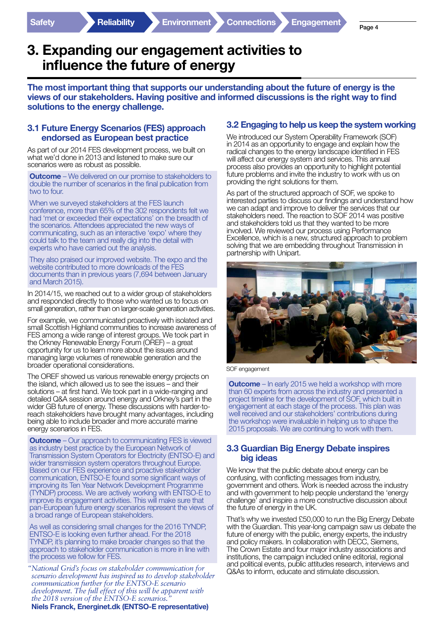### 3. Expanding our engagement activities to influence the future of energy

The most important thing that supports our understanding about the future of energy is the views of our stakeholders. Having positive and informed discussions is the right way to find solutions to the energy challenge.

#### 3.1 Future Energy Scenarios (FES) approach endorsed as European best practice

As part of our 2014 FES development process, we built on what we'd done in 2013 and listened to make sure our scenarios were as robust as possible.

**Outcome** – We delivered on our promise to stakeholders to double the number of scenarios in the final publication from two to four.

When we surveyed stakeholders at the FES launch conference, more than 65% of the 302 respondents felt we had 'met or exceeded their expectations' on the breadth of the scenarios. Attendees appreciated the new ways of communicating, such as an interactive 'expo' where they could talk to the team and really dig into the detail with experts who have carried out the analysis.

They also praised our improved website. The expo and the website contributed to more downloads of the FES documents than in previous years (7,694 between January and March 2015).

In 2014/15, we reached out to a wider group of stakeholders and responded directly to those who wanted us to focus on small generation, rather than on larger-scale generation activities.

For example, we communicated proactively with isolated and small Scottish Highland communities to increase awareness of FES among a wide range of interest groups. We took part in the Orkney Renewable Energy Forum (OREF) – a great opportunity for us to learn more about the issues around managing large volumes of renewable generation and the broader operational considerations.

The OREF showed us various renewable energy projects on the island, which allowed us to see the issues – and their solutions – at first hand. We took part in a wide-ranging and detailed Q&A session around energy and Orkney's part in the wider GB future of energy. These discussions with harder-toreach stakeholders have brought many advantages, including being able to include broader and more accurate marine energy scenarios in FES.

**Outcome** – Our approach to communicating FES is viewed as industry best practice by the European Network of Transmission System Operators for Electricity (ENTSO-E) and wider transmission system operators throughout Europe. Based on our FES experience and proactive stakeholder communication, ENTSO-E found some significant ways of improving its Ten Year Network Development Programme (TYNDP) process. We are actively working with ENTSO-E to improve its engagement activities. This will make sure that pan-European future energy scenarios represent the views of a broad range of European stakeholders.

As well as considering small changes for the 2016 TYNDP, ENTSO-E is looking even further ahead. For the 2018 TYNDP, it's planning to make broader changes so that the approach to stakeholder communication is more in line with the process we follow for FES.

*"National Grid's focus on stakeholder communication for scenario development has inspired us to develop stakeholder communication further for the ENTSO-E scenario development. The full effect of this will be apparent with the 2018 version of the ENTSO-E scenarios."* Niels Franck, Energinet.dk (ENTSO-E representative)

#### 3.2 Engaging to help us keep the system working

We introduced our System Operability Framework (SOF) in 2014 as an opportunity to engage and explain how the radical changes to the energy landscape identified in FES will affect our energy system and services. This annual process also provides an opportunity to highlight potential future problems and invite the industry to work with us on providing the right solutions for them.

As part of the structured approach of SOF, we spoke to interested parties to discuss our findings and understand how we can adapt and improve to deliver the services that our stakeholders need. The reaction to SOF 2014 was positive and stakeholders told us that they wanted to be more involved. We reviewed our process using Performance Excellence, which is a new, structured approach to problem solving that we are embedding throughout Transmission in partnership with Unipart.



SOF engagement

**Outcome** – In early 2015 we held a workshop with more than 60 experts from across the industry and presented a project timeline for the development of SOF, which built in engagement at each stage of the process. This plan was well received and our stakeholders' contributions during the workshop were invaluable in helping us to shape the 2015 proposals. We are continuing to work with them.

#### 3.3 Guardian Big Energy Debate inspires big ideas

We know that the public debate about energy can be confusing, with conflicting messages from industry, government and others. Work is needed across the industry and with government to help people understand the 'energy challenge' and inspire a more constructive discussion about the future of energy in the UK.

That's why we invested £50,000 to run the Big Energy Debate with the Guardian. This year-long campaign saw us debate the future of energy with the public, energy experts, the industry and policy makers. In collaboration with DECC, Siemens, The Crown Estate and four major industry associations and institutions, the campaign included online editorial, regional and political events, public attitudes research, interviews and Q&As to inform, educate and stimulate discussion.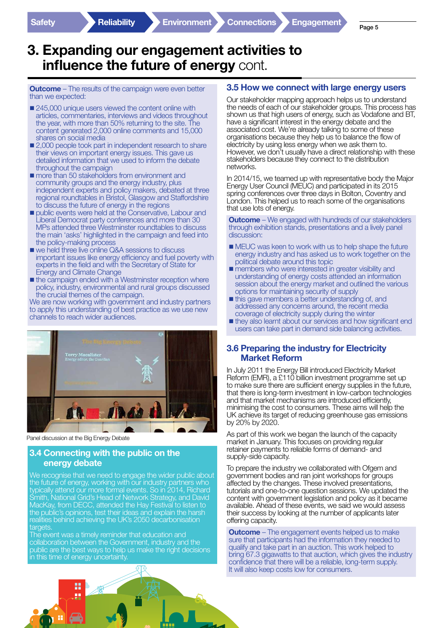## 3. Expanding our engagement activities to influence the future of energy cont.

**Outcome** – The results of the campaign were even better than we expected:

- 245,000 unique users viewed the content online with articles, commentaries, interviews and videos throughout the year, with more than 50% returning to the site. The content generated 2,000 online comments and 15,000 shares on social media
- 2,000 people took part in independent research to share their views on important energy issues. This gave us detailed information that we used to inform the debate throughout the campaign
- **n** more than 50 stakeholders from environment and community groups and the energy industry, plus independent experts and policy makers, debated at three regional roundtables in Bristol, Glasgow and Staffordshire to discuss the future of energy in the regions
- **public events were held at the Conservative, Labour and** Liberal Democrat party conferences and more than 30 MPs attended three Westminster roundtables to discuss the main 'asks' highlighted in the campaign and feed into the policy-making process
- we held three live online Q&A sessions to discuss important issues like energy efficiency and fuel poverty with experts in the field and with the Secretary of State for Energy and Climate Change
- $\blacksquare$  the campaign ended with a Westminster reception where policy, industry, environmental and rural groups discussed the crucial themes of the campaign.

We are now working with government and industry partners to apply this understanding of best practice as we use new channels to reach wider audiences.



Panel discussion at the Big Energy Debate

#### 3.4 Connecting with the public on the energy debate

We recognise that we need to engage the wider public about the future of energy, working with our industry partners who typically attend our more formal events. So in 2014, Richard Smith, National Grid's Head of Network Strategy, and David MacKay, from DECC, attended the Hay Festival to listen to the public's opinions, test their ideas and explain the harsh realities behind achieving the UK's 2050 decarbonisation targets

The event was a timely reminder that education and collaboration between the Government, industry and the public are the best ways to help us make the right decisions in this time of energy uncertainty.

#### 3.5 How we connect with large energy users

Our stakeholder mapping approach helps us to understand the needs of each of our stakeholder groups. This process has shown us that high users of energy, such as Vodafone and BT, have a significant interest in the energy debate and the associated cost. We're already talking to some of these organisations because they help us to balance the flow of electricity by using less energy when we ask them to. However, we don't usually have a direct relationship with these stakeholders because they connect to the distribution networks.

In 2014/15, we teamed up with representative body the Major Energy User Council (MEUC) and participated in its 2015 spring conferences over three days in Bolton, Coventry and London. This helped us to reach some of the organisations that use lots of energy.

**Outcome** – We engaged with hundreds of our stakeholders through exhibition stands, presentations and a lively panel discussion:

- **n** MEUC was keen to work with us to help shape the future energy industry and has asked us to work together on the political debate around this topic
- **n** members who were interested in greater visibility and understanding of energy costs attended an information session about the energy market and outlined the various options for maintaining security of supply
- $\blacksquare$  this gave members a better understanding of, and addressed any concerns around, the recent media coverage of electricity supply during the winter
- n they also learnt about our services and how significant end users can take part in demand side balancing activities.

#### 3.6 Preparing the industry for Electricity Market Reform

In July 2011 the Energy Bill introduced Electricity Market Reform (EMR), a £110 billion investment programme set up to make sure there are sufficient energy supplies in the future, that there is long-term investment in low-carbon technologies and that market mechanisms are introduced efficiently, minimising the cost to consumers. These aims will help the UK achieve its target of reducing greenhouse gas emissions by 20% by 2020.

As part of this work we began the launch of the capacity market in January. This focuses on providing regular retainer payments to reliable forms of demand- and supply-side capacity.

To prepare the industry we collaborated with Ofgem and government bodies and ran joint workshops for groups affected by the changes. These involved presentations, tutorials and one-to-one question sessions. We updated the content with government legislation and policy as it became available. Ahead of these events, we said we would assess their success by looking at the number of applicants later offering capacity.

**Outcome** – The engagement events helped us to make sure that participants had the information they needed to qualify and take part in an auction. This work helped to bring 67.3 gigawatts to that auction, which gives the industry confidence that there will be a reliable, long-term supply. It will also keep costs low for consumers.

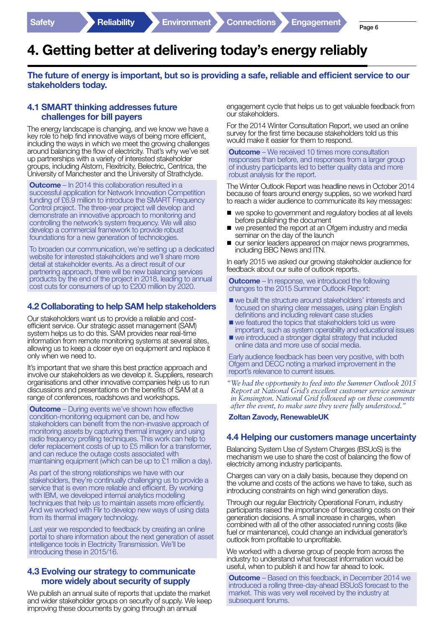# 4. Getting better at delivering today's energy reliably

#### The future of energy is important, but so is providing a safe, reliable and efficient service to our stakeholders today.

#### 4.1 SMART thinking addresses future challenges for bill payers

The energy landscape is changing, and we know we have a key role to help find innovative ways of being more efficient, including the ways in which we meet the growing challenges around balancing the flow of electricity. That's why we've set up partnerships with a variety of interested stakeholder groups, including Alstom, Flexitricity, Belectric, Centrica, the University of Manchester and the University of Strathclyde.

**Outcome** – In 2014 this collaboration resulted in a successful application for Network Innovation Competition funding of £6.9 million to introduce the SMART Frequency Control project. The three-year project will develop and demonstrate an innovative approach to monitoring and controlling the network's system frequency. We will also develop a commercial framework to provide robust foundations for a new generation of technologies.

To broaden our communication, we're setting up a dedicated website for interested stakeholders and we'll share more detail at stakeholder events. As a direct result of our partnering approach, there will be new balancing services products by the end of the project in 2018, leading to annual cost cuts for consumers of up to £200 million by 2020.

#### 4.2 Collaborating to help SAM help stakeholders

Our stakeholders want us to provide a reliable and costefficient service. Our strategic asset management (SAM) system helps us to do this. SAM provides near real-time information from remote monitoring systems at several sites, allowing us to keep a closer eye on equipment and replace it only when we need to.

It's important that we share this best practice approach and involve our stakeholders as we develop it. Suppliers, research organisations and other innovative companies help us to run discussions and presentations on the benefits of SAM at a range of conferences, roadshows and workshops.

**Outcome** – During events we've shown how effective condition-monitoring equipment can be, and how stakeholders can benefit from the non-invasive approach of monitoring assets by capturing thermal imagery and using radio frequency profiling techniques. This work can help to defer replacement costs of up to £5 million for a transformer, and can reduce the outage costs associated with maintaining equipment (which can be up to £1 million a day).

As part of the strong relationships we have with our stakeholders, they're continually challenging us to provide a service that is even more reliable and efficient. By working with IBM, we developed internal analytics modelling techniques that help us to maintain assets more efficiently. And we worked with Flir to develop new ways of using data from its thermal imagery technology.

Last year we responded to feedback by creating an online portal to share information about the next generation of asset intelligence tools in Electricity Transmission. We'll be introducing these in 2015/16.

#### 4.3 Evolving our strategy to communicate more widely about security of supply

We publish an annual suite of reports that update the market and wider stakeholder groups on security of supply. We keep improving these documents by going through an annual

engagement cycle that helps us to get valuable feedback from our stakeholders.

For the 2014 Winter Consultation Report, we used an online survey for the first time because stakeholders told us this would make it easier for them to respond.

**Outcome** – We received 10 times more consultation responses than before, and responses from a larger group of industry participants led to better quality data and more robust analysis for the report.

The Winter Outlook Report was headline news in October 2014 because of fears around energy supplies, so we worked hard to reach a wider audience to communicate its key messages:

- $\blacksquare$  we spoke to government and regulatory bodies at all levels before publishing the document
- $\blacksquare$  we presented the report at an Ofgem industry and media seminar on the day of the launch
- **n** our senior leaders appeared on major news programmes, including BBC News and ITN.

In early 2015 we asked our growing stakeholder audience for feedback about our suite of outlook reports.

**Outcome** – In response, we introduced the following changes to the 2015 Summer Outlook Report:

- n we built the structure around stakeholders' interests and focused on sharing clear messages, using plain English definitions and including relevant case studies
- $\blacksquare$  we featured the topics that stakeholders told us were important, such as system operability and educational issues
- $\blacksquare$  we introduced a stronger digital strategy that included online data and more use of social media.

Early audience feedback has been very positive, with both Ofgem and DECC noting a marked improvement in the report's relevance to current issues.

*"We had the opportunity to feed into the Summer Outlook 2015 Report at National Grid's excellent customer service seminar in Kensington. National Grid followed up on these comments after the event, to make sure they were fully understood."*

Zoltan Zavody, RenewableUK

#### 4.4 Helping our customers manage uncertainty

Balancing System Use of System Charges (BSUoS) is the mechanism we use to share the cost of balancing the flow of electricity among industry participants.

Charges can vary on a daily basis, because they depend on the volume and costs of the actions we have to take, such as introducing constraints on high wind generation days.

Through our regular Electricity Operational Forum, industry participants raised the importance of forecasting costs on their generation decisions. A small increase in charges, when combined with all of the other associated running costs (like fuel or maintenance), could change an individual generator's outlook from profitable to unprofitable.

We worked with a diverse group of people from across the industry to understand what forecast information would be useful, when to publish it and how far ahead to look.

**Outcome** – Based on this feedback, in December 2014 we introduced a rolling three-day-ahead BSUoS forecast to the market. This was very well received by the industry at subsequent forums.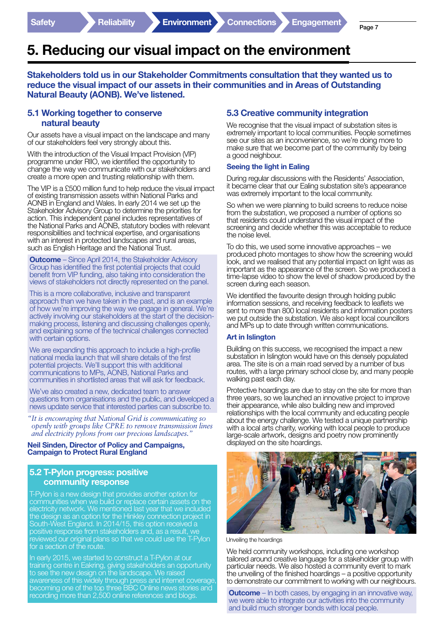# 5. Reducing our visual impact on the environment

Stakeholders told us in our Stakeholder Commitments consultation that they wanted us to reduce the visual impact of our assets in their communities and in Areas of Outstanding Natural Beauty (AONB). We've listened.

#### 5.1 Working together to conserve natural beauty

Our assets have a visual impact on the landscape and many of our stakeholders feel very strongly about this.

With the introduction of the Visual Impact Provision (VIP) programme under RIIO, we identified the opportunity to change the way we communicate with our stakeholders and create a more open and trusting relationship with them.

The VIP is a £500 million fund to help reduce the visual impact of existing transmission assets within National Parks and AONB in England and Wales. In early 2014 we set up the Stakeholder Advisory Group to determine the priorities for action. This independent panel includes representatives of the National Parks and AONB, statutory bodies with relevant responsibilities and technical expertise, and organisations with an interest in protected landscapes and rural areas, such as English Heritage and the National Trust.

**Outcome** – Since April 2014, the Stakeholder Advisory Group has identified the first potential projects that could benefit from VIP funding, also taking into consideration the views of stakeholders not directly represented on the panel.

This is a more collaborative, inclusive and transparent approach than we have taken in the past, and is an example of how we're improving the way we engage in general. We're actively involving our stakeholders at the start of the decisionmaking process, listening and discussing challenges openly, and explaining some of the technical challenges connected with certain options.

We are expanding this approach to include a high-profile national media launch that will share details of the first potential projects. We'll support this with additional communications to MPs, AONB, National Parks and communities in shortlisted areas that will ask for feedback.

We've also created a new, dedicated team to answer questions from organisations and the public, and developed a news update service that interested parties can subscribe to.

*"It is encouraging that National Grid is communicating so openly with groups like CPRE to remove transmission lines and electricity pylons from our precious landscapes."*

#### Neil Sinden, Director of Policy and Campaigns, Campaign to Protect Rural England

#### 5.2 T-Pylon progress: positive community response

T-Pylon is a new design that provides another option for communities when we build or replace certain assets on the electricity network. We mentioned last year that we included the design as an option for the Hinkley connection project in South-West England. In 2014/15, this option received a positive response from stakeholders and, as a result, we reviewed our original plans so that we could use the T-Pylon for a section of the route.

In early 2015, we started to construct a T-Pylon at our training centre in Eakring, giving stakeholders an opportunity to see the new design on the landscape. We raised awareness of this widely through press and internet coverage, becoming one of the top three BBC Online news stories and recording more than 2,500 online references and blogs.

#### 5.3 Creative community integration

We recognise that the visual impact of substation sites is extremely important to local communities. People sometimes see our sites as an inconvenience, so we're doing more to make sure that we become part of the community by being a good neighbour.

#### Seeing the light in Ealing

During regular discussions with the Residents' Association, it became clear that our Ealing substation site's appearance was extremely important to the local community.

So when we were planning to build screens to reduce noise from the substation, we proposed a number of options so that residents could understand the visual impact of the screening and decide whether this was acceptable to reduce the noise level.

To do this, we used some innovative approaches – we produced photo montages to show how the screening would look, and we realised that any potential impact on light was as important as the appearance of the screen. So we produced a time-lapse video to show the level of shadow produced by the screen during each season.

We identified the favourite design through holding public information sessions, and receiving feedback to leaflets we sent to more than 800 local residents and information posters we put outside the substation. We also kept local councillors and MPs up to date through written communications.

#### Art in Islington

Building on this success, we recognised the impact a new substation in Islington would have on this densely populated area. The site is on a main road served by a number of bus routes, with a large primary school close by, and many people walking past each day.

Protective hoardings are due to stay on the site for more than three years, so we launched an innovative project to improve their appearance, while also building new and improved relationships with the local community and educating people about the energy challenge. We tested a unique partnership with a local arts charity, working with local people to produce large-scale artwork, designs and poetry now prominently displayed on the site hoardings.



Unveiling the hoardings

We held community workshops, including one workshop tailored around creative language for a stakeholder group with particular needs. We also hosted a community event to mark the unveiling of the finished hoardings – a positive opportunity to demonstrate our commitment to working with our neighbours.

**Outcome** – In both cases, by engaging in an innovative way, we were able to integrate our activities into the community and build much stronger bonds with local people.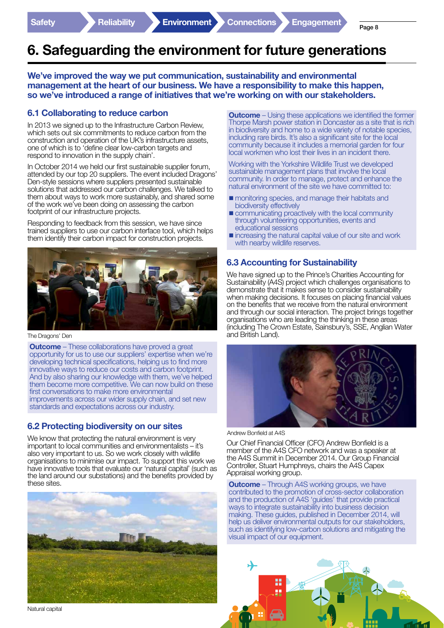# 6. Safeguarding the environment for future generations

We've improved the way we put communication, sustainability and environmental management at the heart of our business. We have a responsibility to make this happen, so we've introduced a range of initiatives that we're working on with our stakeholders.

#### 6.1 Collaborating to reduce carbon

In 2013 we signed up to the Infrastructure Carbon Review, which sets out six commitments to reduce carbon from the construction and operation of the UK's infrastructure assets, one of which is to 'define clear low-carbon targets and respond to innovation in the supply chain'.

In October 2014 we held our first sustainable supplier forum, attended by our top 20 suppliers. The event included Dragons' Den-style sessions where suppliers presented sustainable solutions that addressed our carbon challenges. We talked to them about ways to work more sustainably, and shared some of the work we've been doing on assessing the carbon footprint of our infrastructure projects.

Responding to feedback from this session, we have since trained suppliers to use our carbon interface tool, which helps them identify their carbon impact for construction projects.



The Dragons' Den

**Outcome** – These collaborations have proved a great opportunity for us to use our suppliers' expertise when we're developing technical specifications, helping us to find more innovative ways to reduce our costs and carbon footprint. And by also sharing our knowledge with them, we've helped them become more competitive. We can now build on these first conversations to make more environmental improvements across our wider supply chain, and set new standards and expectations across our industry.

#### 6.2 Protecting biodiversity on our sites

We know that protecting the natural environment is very important to local communities and environmentalists – it's also very important to us. So we work closely with wildlife organisations to minimise our impact. To support this work we have innovative tools that evaluate our 'natural capital' (such as the land around our substations) and the benefits provided by these sites.



**Outcome** – Using these applications we identified the former Thorpe Marsh power station in Doncaster as a site that is rich in biodiversity and home to a wide variety of notable species, including rare birds. It's also a significant site for the local community because it includes a memorial garden for four local workmen who lost their lives in an incident there.

Working with the Yorkshire Wildlife Trust we developed sustainable management plans that involve the local community. In order to manage, protect and enhance the natural environment of the site we have committed to:

- **n** monitoring species, and manage their habitats and biodiversity effectively
- **n** communicating proactively with the local community through volunteering opportunities, events and educational sessions
- $\blacksquare$  increasing the natural capital value of our site and work with nearby wildlife reserves.

#### 6.3 Accounting for Sustainability

We have signed up to the Prince's Charities Accounting for Sustainability (A4S) project which challenges organisations to demonstrate that it makes sense to consider sustainability when making decisions. It focuses on placing financial values on the benefits that we receive from the natural environment and through our social interaction. The project brings together organisations who are leading the thinking in these areas (including The Crown Estate, Sainsbury's, SSE, Anglian Water and British Land).



Andrew Bonfield at A4S

Our Chief Financial Officer (CFO) Andrew Bonfield is a member of the A4S CFO network and was a speaker at the A4S Summit in December 2014. Our Group Financial Controller, Stuart Humphreys, chairs the A4S Capex Appraisal working group.

**Outcome** – Through A4S working groups, we have contributed to the promotion of cross-sector collaboration and the production of A4S 'guides' that provide practical ways to integrate sustainability into business decision making. These guides, published in December 2014, will help us deliver environmental outputs for our stakeholders, such as identifying low-carbon solutions and mitigating the visual impact of our equipment.



Natural capital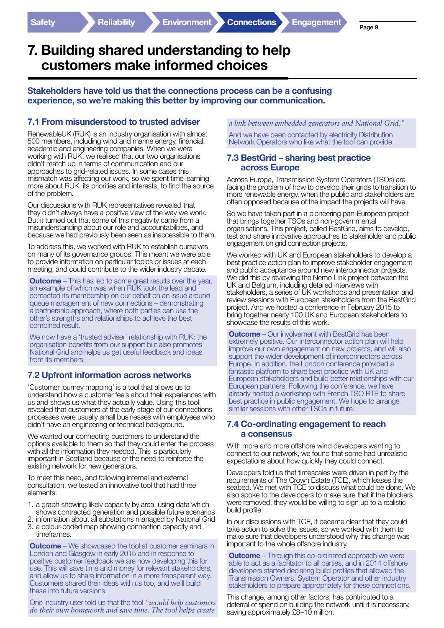### 7. Building shared understanding to help customers make informed choices

Stakeholders have told us that the connections process can be a confusing experience, so we're making this better by improving our communication.

#### 7.1 From misunderstood to trusted adviser

RenewableUK (RUK) is an industry organisation with almost 500 members, including wind and marine energy, financial, academic and engineering companies. When we were working with RUK, we realised that our two organisations didn't match up in terms of communication and our approaches to grid-related issues. In some cases this mismatch was affecting our work, so we spent time learning more about RUK, its priorities and interests, to find the source of the problem.

Our discussions with RUK representatives revealed that they didn't always have a positive view of the way we work. But it turned out that some of this negativity came from a misunderstanding about our role and accountabilities, and because we had previously been seen as inaccessible to them.

To address this, we worked with RUK to establish ourselves on many of its governance groups. This meant we were able to provide information on particular topics or issues at each meeting, and could contribute to the wider industry debate.

**Outcome** – This has led to some great results over the year, an example of which was when RUK took the lead and contacted its membership on our behalf on an issue around queue management of new connections – demonstrating a partnership approach, where both parties can use the other's strengths and relationships to achieve the best combined result.

We now have a 'trusted adviser' relationship with RUK: the organisation benefits from our support but also promotes National Grid and helps us get useful feedback and ideas from its members.

#### 7.2 Upfront information across networks

'Customer journey mapping' is a tool that allows us to understand how a customer feels about their experiences with us and shows us what they actually value. Using this tool revealed that customers at the early stage of our connections processes were usually small businesses with employees who didn't have an engineering or technical background.

We wanted our connecting customers to understand the options available to them so that they could enter the process with all the information they needed. This is particularly important in Scotland because of the need to reinforce the existing network for new generators.

To meet this need, and following internal and external consultation, we tested an innovative tool that had three elements:

- 1. a graph showing likely capacity by area, using data which shows contracted generation and possible future scenarios
- 2. information about all substations managed by National Grid 3. a colour-coded map showing connection capacity and
- timeframes.

**Outcome** – We showcased the tool at customer seminars in London and Glasgow in early 2015 and in response to positive customer feedback we are now developing this for use. This will save time and money for relevant stakeholders, and allow us to share information in a more transparent way. Customers shared their ideas with us too, and we'll build these into future versions.

One industry user told us that the tool *"would help customers do their own homework and save time. The tool helps create* 

*a link between embedded generators and National Grid."*

And we have been contacted by electricity Distribution Network Operators who like what the tool can provide.

#### 7.3 BestGrid – sharing best practice across Europe

Across Europe, Transmission System Operators (TSOs) are facing the problem of how to develop their grids to transition to more renewable energy, when the public and stakeholders are often opposed because of the impact the projects will have.

So we have taken part in a pioneering pan-European project that brings together TSOs and non-governmental organisations. This project, called BestGrid, aims to develop, test and share innovative approaches to stakeholder and public engagement on grid connection projects.

We worked with UK and European stakeholders to develop a best practice action plan to improve stakeholder engagement and public acceptance around new interconnector projects. We did this by reviewing the Nemo Link project between the UK and Belgium, including detailed interviews with stakeholders, a series of UK workshops and presentation and review sessions with European stakeholders from the BestGrid project. And we hosted a conference in February 2015 to bring together nearly 100 UK and European stakeholders to showcase the results of this work.

**Outcome** – Our involvement with BestGrid has been extremely positive. Our interconnector action plan will help improve our own engagement on new projects, and will also support the wider development of interconnectors across Europe. In addition, the London conference provided a fantastic platform to share best practice with UK and European stakeholders and build better relationships with our European partners. Following the conference, we have already hosted a workshop with French TSO RTE to share best practice in public engagement. We hope to arrange similar sessions with other TSOs in future.

#### 7.4 Co-ordinating engagement to reach a consensus

With more and more offshore wind developers wanting to connect to our network, we found that some had unrealistic expectations about how quickly they could connect.

Developers told us that timescales were driven in part by the requirements of The Crown Estate (TCE), which leases the seabed. We met with TCE to discuss what could be done. We also spoke to the developers to make sure that if the blockers were removed, they would be willing to sign up to a realistic build profile.

In our discussions with TCE, it became clear that they could take action to solve the issues, so we worked with them to make sure that developers understood why this change was important to the whole offshore industry.

**Outcome** – Through this co-ordinated approach we were able to act as a facilitator to all parties, and in 2014 offshore developers started declaring build profiles that allowed the Transmission Owners, System Operator and other industry stakeholders to prepare appropriately for these connections.

This change, among other factors, has contributed to a deferral of spend on building the network until it is necessary, saving approximately £8-10 million.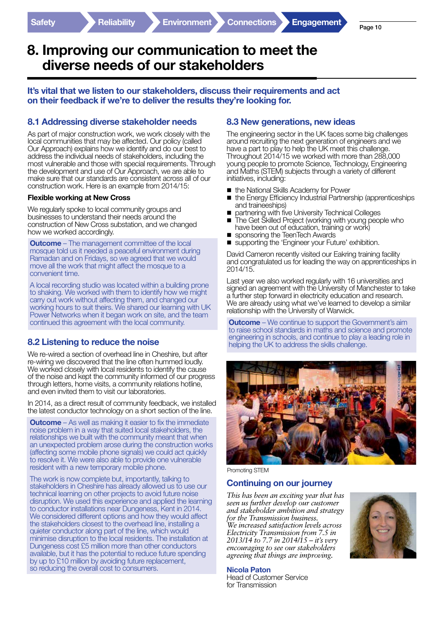Page 10

### 8. Improving our communication to meet the diverse needs of our stakeholders

#### It's vital that we listen to our stakeholders, discuss their requirements and act on their feedback if we're to deliver the results they're looking for.

#### 8.1 Addressing diverse stakeholder needs

As part of major construction work, we work closely with the local communities that may be affected. Our policy (called Our Approach) explains how we identify and do our best to address the individual needs of stakeholders, including the most vulnerable and those with special requirements. Through the development and use of Our Approach, we are able to make sure that our standards are consistent across all of our construction work. Here is an example from 2014/15:

#### Flexible working at New Cross

We regularly spoke to local community groups and businesses to understand their needs around the construction of New Cross substation, and we changed how we worked accordingly.

**Outcome** – The management committee of the local mosque told us it needed a peaceful environment during Ramadan and on Fridays, so we agreed that we would move all the work that might affect the mosque to a convenient time.

A local recording studio was located within a building prone to shaking. We worked with them to identify how we might carry out work without affecting them, and changed our working hours to suit theirs. We shared our learning with UK Power Networks when it began work on site, and the team continued this agreement with the local community.

#### 8.2 Listening to reduce the noise

We re-wired a section of overhead line in Cheshire, but after re-wiring we discovered that the line often hummed loudly. We worked closely with local residents to identify the cause of the noise and kept the community informed of our progress through letters, home visits, a community relations hotline, and even invited them to visit our laboratories.

In 2014, as a direct result of community feedback, we installed the latest conductor technology on a short section of the line.

**Outcome** – As well as making it easier to fix the immediate noise problem in a way that suited local stakeholders, the relationships we built with the community meant that when an unexpected problem arose during the construction works (affecting some mobile phone signals) we could act quickly to resolve it. We were also able to provide one vulnerable resident with a new temporary mobile phone.

The work is now complete but, importantly, talking to stakeholders in Cheshire has already allowed us to use our technical learning on other projects to avoid future noise disruption. We used this experience and applied the learning to conductor installations near Dungeness, Kent in 2014. We considered different options and how they would affect the stakeholders closest to the overhead line, installing a quieter conductor along part of the line, which would minimise disruption to the local residents. The installation at Dungeness cost £5 million more than other conductors available, but it has the potential to reduce future spending by up to £10 million by avoiding future replacement, so reducing the overall cost to consumers.

#### 8.3 New generations, new ideas

The engineering sector in the UK faces some big challenges around recruiting the next generation of engineers and we have a part to play to help the UK meet this challenge. Throughout 2014/15 we worked with more than 288,000 young people to promote Science, Technology, Engineering and Maths (STEM) subjects through a variety of different initiatives, including:

- the National Skills Academy for Power
- $\blacksquare$  the Energy Efficiency Industrial Partnership (apprenticeships and traineeships)
- partnering with five University Technical Colleges
- The Get Skilled Project (working with young people who have been out of education, training or work)
- sponsoring the TeenTech Awards
- supporting the 'Engineer your Future' exhibition.

David Cameron recently visited our Eakring training facility and congratulated us for leading the way on apprenticeships in 2014/15.

Last year we also worked regularly with 16 universities and signed an agreement with the University of Manchester to take a further step forward in electricity education and research. We are already using what we've learned to develop a similar relationship with the University of Warwick.

**Outcome** – We continue to support the Government's aim to raise school standards in maths and science and promote engineering in schools, and continue to play a leading role in helping the UK to address the skills challenge.



Promoting STEM

#### Continuing on our journey

*This has been an exciting year that has seen us further develop our customer and stakeholder ambition and strategy for the Transmission business. We increased satisfaction levels across Electricity Transmission from 7.5 in 2013/14 to 7.7 in 2014/15 – it's very encouraging to see our stakeholders agreeing that things are improving.* 



#### Nicola Paton

Head of Customer Service for Transmission